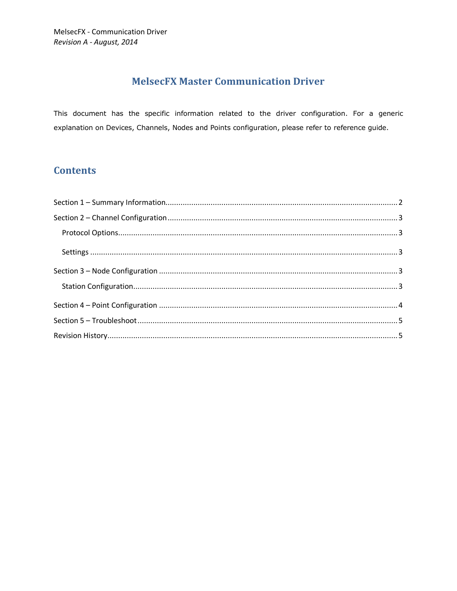# **MelsecFX Master Communication Driver**

This document has the specific information related to the driver configuration. For a generic explanation on Devices, Channels, Nodes and Points configuration, please refer to reference guide.

# **Contents**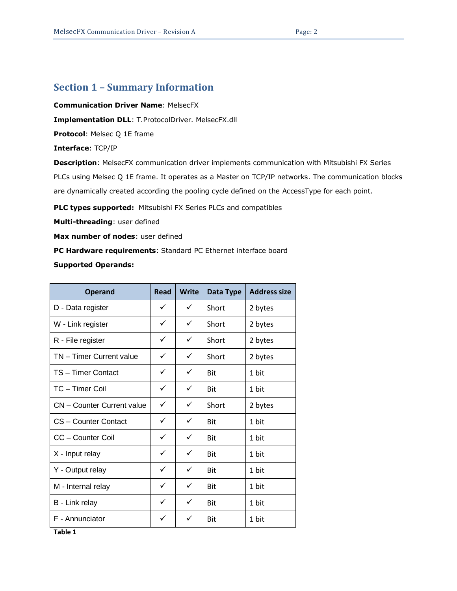### <span id="page-1-0"></span>**Section 1 – Summary Information**

**Communication Driver Name**: MelsecFX

**Implementation DLL**: T.ProtocolDriver. MelsecFX.dll

**Protocol**: Melsec Q 1E frame

**Interface**: TCP/IP

**Description**: MelsecFX communication driver implements communication with Mitsubishi FX Series PLCs using Melsec Q 1E frame. It operates as a Master on TCP/IP networks. The communication blocks are dynamically created according the pooling cycle defined on the AccessType for each point.

**PLC types supported:** Mitsubishi FX Series PLCs and compatibles

**Multi-threading**: user defined

**Max number of nodes**: user defined

**PC Hardware requirements**: Standard PC Ethernet interface board

**Supported Operands:**

| <b>Operand</b>                    | <b>Read</b>  | Write        | Data Type  | <b>Address size</b> |
|-----------------------------------|--------------|--------------|------------|---------------------|
| D - Data register                 | ✓            | ✓            | Short      | 2 bytes             |
| W - Link register                 | ✓            | ✓            | Short      | 2 bytes             |
| R - File register                 | ✓            | ✓            | Short      | 2 bytes             |
| TN - Timer Current value          | ✓            | ✓            | Short      | 2 bytes             |
| TS-Timer Contact                  | ✓            | ✓            | Bit        | 1 bit               |
| TC - Timer Coil                   | ✓            | ✓            | Bit        | 1 bit               |
| <b>CN</b> - Counter Current value | ✓            | ✓            | Short      | 2 bytes             |
| CS - Counter Contact              | ✓            | $\checkmark$ | Bit        | 1 bit               |
| CC - Counter Coil                 | ✓            | ✓            | <b>Bit</b> | 1 bit               |
| X - Input relay                   | $\checkmark$ | $\checkmark$ | Bit        | 1 bit               |
| Y - Output relay                  | $\checkmark$ | ✓            | <b>Bit</b> | 1 bit               |
| M - Internal relay                | ✓            | $\checkmark$ | <b>Bit</b> | 1 bit               |
| B - Link relay                    | ✓            | ✓            | <b>Bit</b> | 1 bit               |
| F - Annunciator                   | ✓            | ✓            | <b>Bit</b> | 1 bit               |

**Table 1**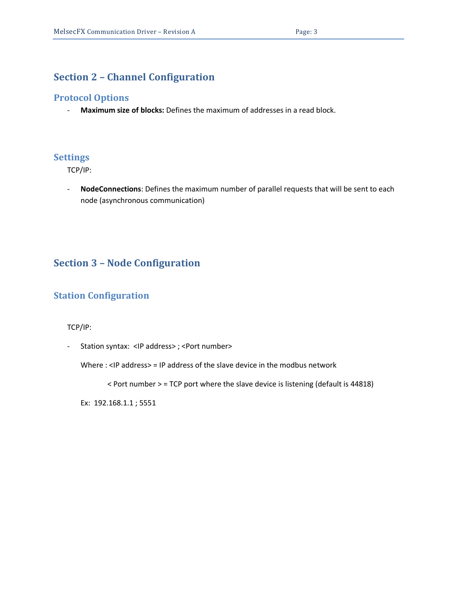### <span id="page-2-0"></span>**Section 2 – Channel Configuration**

#### <span id="page-2-1"></span>**Protocol Options**

- **Maximum size of blocks:** Defines the maximum of addresses in a read block.

#### <span id="page-2-2"></span>**Settings**

TCP/IP:

- **NodeConnections**: Defines the maximum number of parallel requests that will be sent to each node (asynchronous communication)

### <span id="page-2-3"></span>**Section 3 – Node Configuration**

### <span id="page-2-4"></span>**Station Configuration**

TCP/IP:

- Station syntax: <IP address> ; <Port number>

Where : <IP address> = IP address of the slave device in the modbus network

< Port number > = TCP port where the slave device is listening (default is 44818)

Ex: 192.168.1.1 ; 5551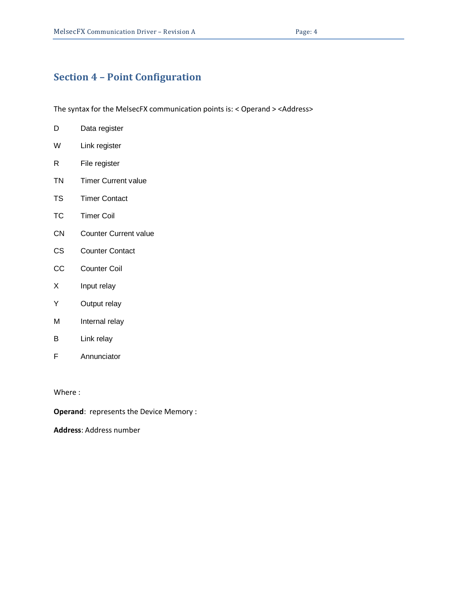## <span id="page-3-0"></span>**Section 4 – Point Configuration**

The syntax for the MelsecFX communication points is: < Operand > <Address>

D Data register W Link register R File register TN Timer Current value TS Timer Contact TC Timer Coil CN Counter Current value CS Counter Contact CC Counter Coil X Input relay Y Output relay M Internal relay B Link relay F Annunciator

Where :

**Operand**: represents the Device Memory :

**Address**: Address number